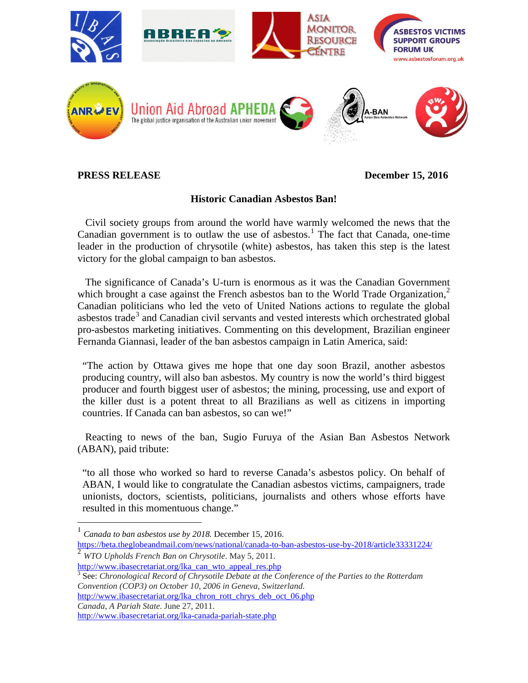

## **PRESS RELEASE** December 15, 2016

## **Historic Canadian Asbestos Ban!**

 Civil society groups from around the world have warmly welcomed the news that the Canadian government is to outlaw the use of asbestos.<sup>[1](#page-0-0)</sup> The fact that Canada, one-time leader in the production of chrysotile (white) asbestos, has taken this step is the latest victory for the global campaign to ban asbestos.

 The significance of Canada's U-turn is enormous as it was the Canadian Government which brought a case against the French asbestos ban to the World Trade Organization,<sup>[2](#page-0-1)</sup> Canadian politicians who led the veto of United Nations actions to regulate the global asbestos trade<sup>[3](#page-0-2)</sup> and Canadian civil servants and vested interests which orchestrated global pro-asbestos marketing initiatives. Commenting on this development, Brazilian engineer Fernanda Giannasi, leader of the ban asbestos campaign in Latin America, said:

"The action by Ottawa gives me hope that one day soon Brazil, another asbestos producing country, will also ban asbestos. My country is now the world's third biggest producer and fourth biggest user of asbestos; the mining, processing, use and export of the killer dust is a potent threat to all Brazilians as well as citizens in importing countries. If Canada can ban asbestos, so can we!"

 Reacting to news of the ban, Sugio Furuya of the Asian Ban Asbestos Network (ABAN), paid tribute:

"to all those who worked so hard to reverse Canada's asbestos policy. On behalf of ABAN, I would like to congratulate the Canadian asbestos victims, campaigners, trade unionists, doctors, scientists, politicians, journalists and others whose efforts have resulted in this momentuous change."

<https://beta.theglobeandmail.com/news/national/canada-to-ban-asbestos-use-by-2018/article33331224/> <sup>2</sup> *WTO Upholds French Ban on Chrysotile*. May 5, 2011.

<span id="page-0-1"></span>[http://www.ibasecretariat.org/lka\\_can\\_wto\\_appeal\\_res.php](http://www.ibasecretariat.org/lka_can_wto_appeal_res.php)

<span id="page-0-2"></span><sup>3</sup> See: *Chronological Record of Chrysotile Debate at the Conference of the Parties to the Rotterdam Convention (COP3) on October 10, 2006 in Geneva, Switzerland.* 

[http://www.ibasecretariat.org/lka\\_chron\\_rott\\_chrys\\_deb\\_oct\\_06.php](http://www.ibasecretariat.org/lka_chron_rott_chrys_deb_oct_06.php)

*Canada, A Pariah State.* June 27, 2011.

<http://www.ibasecretariat.org/lka-canada-pariah-state.php>

<span id="page-0-0"></span> <sup>1</sup> *Canada to ban asbestos use by 2018.* December 15, 2016.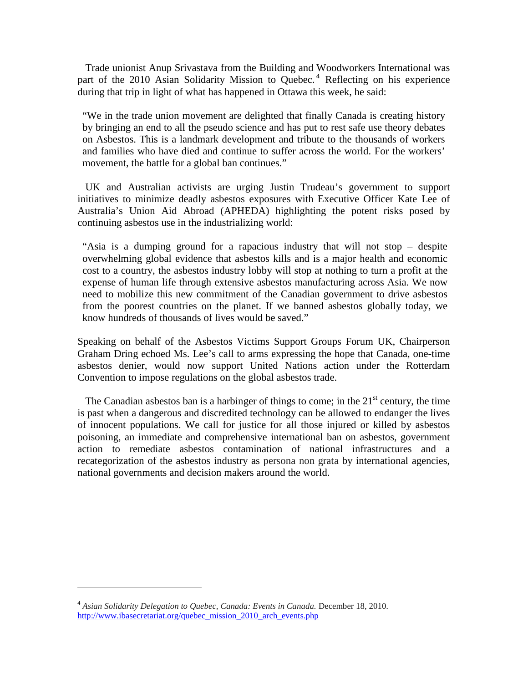Trade unionist Anup Srivastava from the Building and Woodworkers International was part of the 2010 Asian Solidarity Mission to Quebec.<sup>[4](#page-1-0)</sup> Reflecting on his experience during that trip in light of what has happened in Ottawa this week, he said:

"We in the trade union movement are delighted that finally Canada is creating history by bringing an end to all the pseudo science and has put to rest safe use theory debates on Asbestos. This is a landmark development and tribute to the thousands of workers and families who have died and continue to suffer across the world. For the workers' movement, the battle for a global ban continues."

 UK and Australian activists are urging Justin Trudeau's government to support initiatives to minimize deadly asbestos exposures with Executive Officer Kate Lee of Australia's Union Aid Abroad (APHEDA) highlighting the potent risks posed by continuing asbestos use in the industrializing world:

"Asia is a dumping ground for a rapacious industry that will not stop – despite overwhelming global evidence that asbestos kills and is a major health and economic cost to a country, the asbestos industry lobby will stop at nothing to turn a profit at the expense of human life through extensive asbestos manufacturing across Asia. We now need to mobilize this new commitment of the Canadian government to drive asbestos from the poorest countries on the planet. If we banned asbestos globally today, we know hundreds of thousands of lives would be saved."

Speaking on behalf of the Asbestos Victims Support Groups Forum UK, Chairperson Graham Dring echoed Ms. Lee's call to arms expressing the hope that Canada, one-time asbestos denier, would now support United Nations action under the Rotterdam Convention to impose regulations on the global asbestos trade.

The Canadian asbestos ban is a harbinger of things to come; in the  $21<sup>st</sup>$  century, the time is past when a dangerous and discredited technology can be allowed to endanger the lives of innocent populations. We call for justice for all those injured or killed by asbestos poisoning, an immediate and comprehensive international ban on asbestos, government action to remediate asbestos contamination of national infrastructures and a recategorization of the asbestos industry as persona non grata by international agencies, national governments and decision makers around the world.

 $\overline{a}$ 

<span id="page-1-0"></span><sup>4</sup> *Asian Solidarity Delegation to Quebec, Canada: Events in Canada.* December 18, 2010. [http://www.ibasecretariat.org/quebec\\_mission\\_2010\\_arch\\_events.php](http://www.ibasecretariat.org/quebec_mission_2010_arch_events.php)